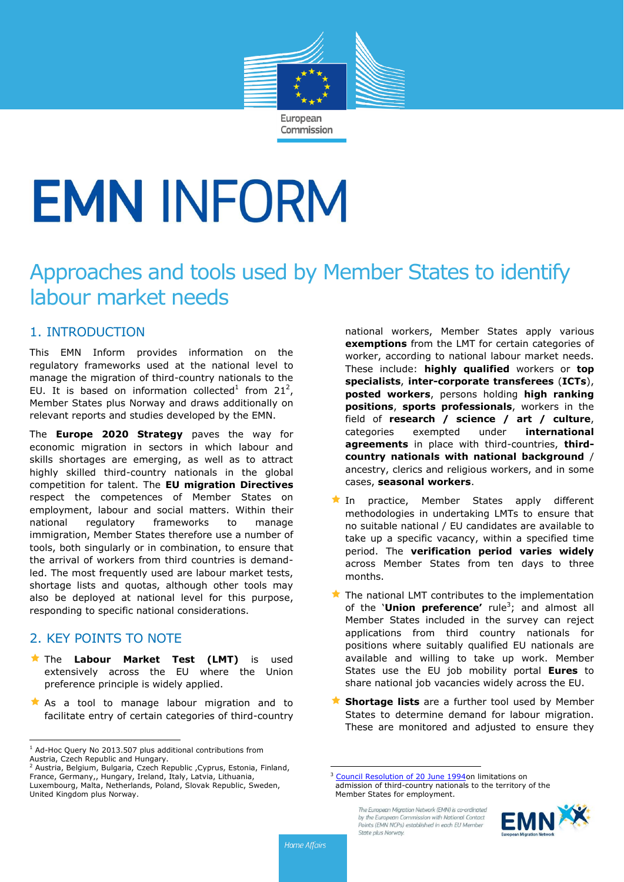

# **EMN INFORM**

# Approaches and tools used by Member States to identify labour market needs

# 1. INTRODUCTION

This EMN Inform provides information on the regulatory frameworks used at the national level to manage the migration of third-country nationals to the EU. It is based on information collected<sup>1</sup> from  $21^2$ , Member States plus Norway and draws additionally on relevant reports and studies developed by the EMN.

The **Europe 2020 Strategy** paves the way for economic migration in sectors in which labour and skills shortages are emerging, as well as to attract highly skilled third-country nationals in the global competition for talent. The **EU migration Directives** respect the competences of Member States on employment, labour and social matters. Within their national regulatory frameworks to manage immigration, Member States therefore use a number of tools, both singularly or in combination, to ensure that the arrival of workers from third countries is demandled. The most frequently used are labour market tests, shortage lists and quotas, although other tools may also be deployed at national level for this purpose, responding to specific national considerations.

# 2. KEY POINTS TO NOTE

 $\overline{a}$ 

- The **Labour Market Test (LMT)** is used extensively across the EU where the Union preference principle is widely applied.
- As a tool to manage labour migration and to facilitate entry of certain categories of third-country

national workers, Member States apply various **exemptions** from the LMT for certain categories of worker, according to national labour market needs. These include: **highly qualified** workers or **top specialists**, **inter-corporate transferees** (**ICTs**), **posted workers**, persons holding **high ranking positions**, **sports professionals**, workers in the field of **research / science / art / culture**, categories exempted under **international agreements** in place with third-countries, **thirdcountry nationals with national background** / ancestry, clerics and religious workers, and in some cases, **seasonal workers**.

- In practice, Member States apply different methodologies in undertaking LMTs to ensure that no suitable national / EU candidates are available to take up a specific vacancy, within a specified time period. The **verification period varies widely** across Member States from ten days to three months.
- $\bigstar$  The national LMT contributes to the implementation of the '**Union preference'** rule<sup>3</sup> ; and almost all Member States included in the survey can reject applications from third country nationals for positions where suitably qualified EU nationals are available and willing to take up work. Member States use the EU job mobility portal **Eures** to share national job vacancies widely across the EU.
- **Shortage lists** are a further tool used by Member States to determine demand for labour migration. These are monitored and adjusted to ensure they

The European Migration Network (EMN) is co-ordinated by the European Commission with National Contact Points (FMN NCPs) established in each FU Member State plus Norway.



 $\overline{a}$ 

 $1$  Ad-Hoc Query No 2013.507 plus additional contributions from

Austria, Czech Republic and Hungary.<br><sup>2</sup> Austria, Belgium, Bulgaria, Czech Republic ,Cyprus, Estonia, Finland, France, Germany,, Hungary, Ireland, Italy, Latvia, Lithuania, Luxembourg, Malta, Netherlands, Poland, Slovak Republic, Sweden, United Kingdom plus Norway.

<sup>&</sup>lt;sup>3</sup> [Council Resolution of 20 June 1994o](http://eur-lex.europa.eu/LexUriServ/LexUriServ.do?uri=OJ:C:1996:274:0003:0006:EN:PDF)n limitations on admission of third-country nationals to the territory of the Member States for employment.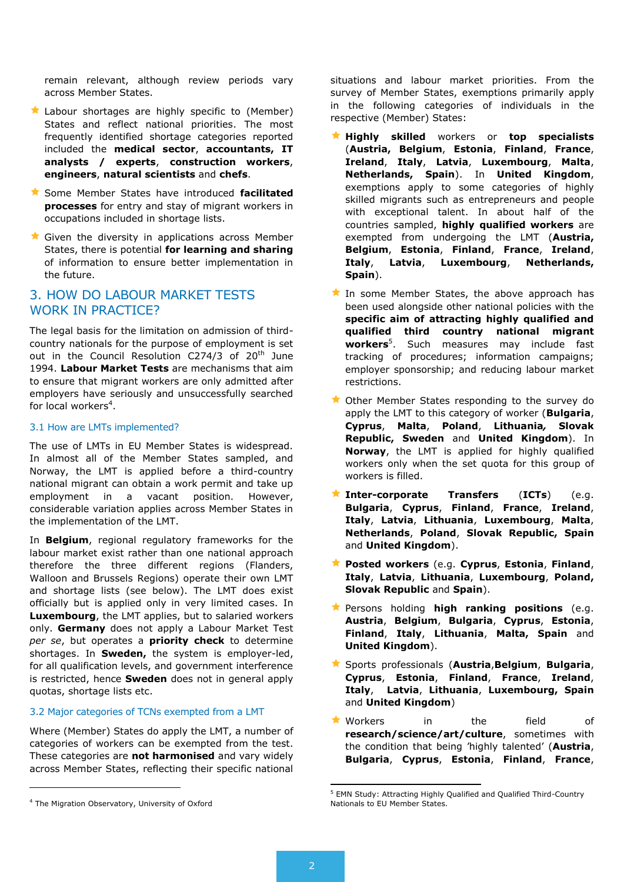remain relevant, although review periods vary across Member States.

- **Labour shortages are highly specific to (Member)** States and reflect national priorities. The most frequently identified shortage categories reported included the **medical sector**, **accountants, IT analysts / experts**, **construction workers**, **engineers**, **natural scientists** and **chefs**.
- Some Member States have introduced **facilitated processes** for entry and stay of migrant workers in occupations included in shortage lists.
- Given the diversity in applications across Member States, there is potential **for learning and sharing** of information to ensure better implementation in the future.

# 3. HOW DO LABOUR MARKET TESTS WORK IN PRACTICE?

The legal basis for the limitation on admission of thirdcountry nationals for the purpose of employment is set out in the Council Resolution C274/3 of 20<sup>th</sup> June 1994. **Labour Market Tests** are mechanisms that aim to ensure that migrant workers are only admitted after employers have seriously and unsuccessfully searched for local workers<sup>4</sup>.

#### 3.1 How are LMTs implemented?

The use of LMTs in EU Member States is widespread. In almost all of the Member States sampled, and Norway, the LMT is applied before a third-country national migrant can obtain a work permit and take up employment in a vacant position. However, considerable variation applies across Member States in the implementation of the LMT.

In **Belgium**, regional regulatory frameworks for the labour market exist rather than one national approach therefore the three different regions (Flanders, Walloon and Brussels Regions) operate their own LMT and shortage lists (see below). The LMT does exist officially but is applied only in very limited cases. In **Luxembourg**, the LMT applies, but to salaried workers only. **Germany** does not apply a Labour Market Test *per se*, but operates a **priority check** to determine shortages. In **Sweden,** the system is employer-led, for all qualification levels, and government interference is restricted, hence **Sweden** does not in general apply quotas, shortage lists etc.

#### 3.2 Major categories of TCNs exempted from a LMT

Where (Member) States do apply the LMT, a number of categories of workers can be exempted from the test. These categories are **not harmonised** and vary widely across Member States, reflecting their specific national

l

situations and labour market priorities. From the survey of Member States, exemptions primarily apply in the following categories of individuals in the respective (Member) States:

- **Highly skilled** workers or **top specialists** (**Austria, Belgium**, **Estonia**, **Finland**, **France**, **Ireland**, **Italy**, **Latvia**, **Luxembourg**, **Malta**, **Netherlands, Spain**). In **United Kingdom**, exemptions apply to some categories of highly skilled migrants such as entrepreneurs and people with exceptional talent. In about half of the countries sampled, **highly qualified workers** are exempted from undergoing the LMT (**Austria, Belgium**, **Estonia**, **Finland**, **France**, **Ireland**, **Italy**, **Latvia**, **Luxembourg**, **Netherlands, Spain**).
- In some Member States, the above approach has been used alongside other national policies with the **specific aim of attracting highly qualified and qualified third country national migrant workers**<sup>5</sup> . Such measures may include fast tracking of procedures; information campaigns; employer sponsorship; and reducing labour market restrictions.
- Other Member States responding to the survey do apply the LMT to this category of worker (**Bulgaria**, **Cyprus**, **Malta**, **Poland**, **Lithuania***,* **Slovak Republic, Sweden** and **United Kingdom**). In **Norway**, the LMT is applied for highly qualified workers only when the set quota for this group of workers is filled.
- **Inter-corporate Transfers** (**ICTs**) (e.g. **Bulgaria**, **Cyprus**, **Finland**, **France**, **Ireland**, **Italy**, **Latvia**, **Lithuania**, **Luxembourg**, **Malta**, **Netherlands**, **Poland**, **Slovak Republic, Spain** and **United Kingdom**).
- **Posted workers** (e.g. **Cyprus**, **Estonia**, **Finland**, **Italy**, **Latvia**, **Lithuania**, **Luxembourg**, **Poland, Slovak Republic** and **Spain**).
- Persons holding **high ranking positions** (e.g. **Austria**, **Belgium**, **Bulgaria**, **Cyprus**, **Estonia**, **Finland**, **Italy**, **Lithuania**, **Malta, Spain** and **United Kingdom**).
- Sports professionals (**Austria**,**Belgium**, **Bulgaria**, **Cyprus**, **Estonia**, **Finland**, **France**, **Ireland**, **Italy**, **Latvia**, **Lithuania**, **Luxembourg, Spain** and **United Kingdom**)
- **Workers** in the field of **research/science/art/culture**, sometimes with the condition that being 'highly talented' (**Austria**, **Bulgaria**, **Cyprus**, **Estonia**, **Finland**, **France**,

 $\overline{a}$ 

<sup>4</sup> The Migration Observatory, University of Oxford

<sup>5</sup> EMN Study: Attracting Highly Qualified and Qualified Third-Country Nationals to EU Member States.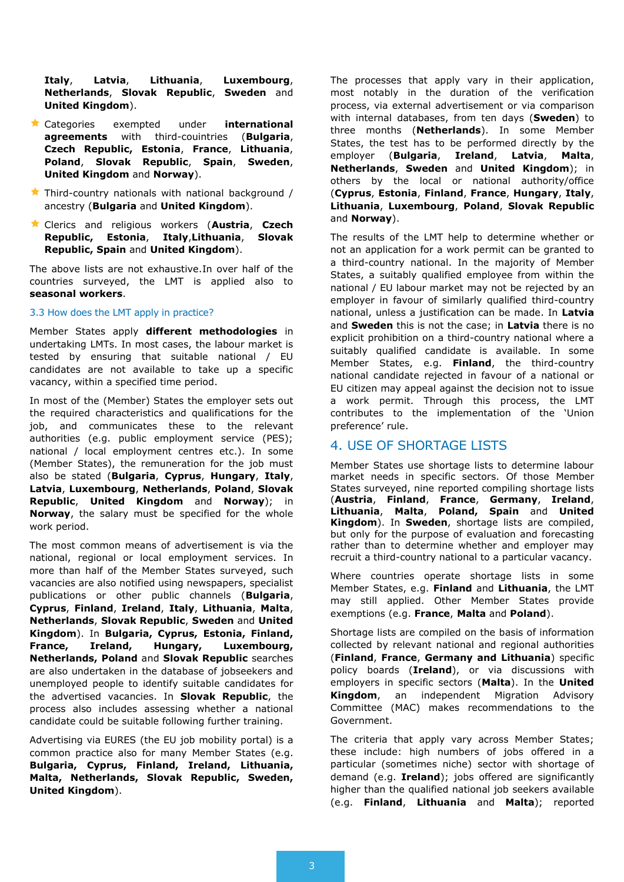**Italy**, **Latvia**, **Lithuania**, **Luxembourg**, **Netherlands**, **Slovak Republic**, **Sweden** and **United Kingdom**).

- Categories exempted under **international agreements** with third-couintries (**Bulgaria**, **Czech Republic, Estonia**, **France**, **Lithuania**, **Poland**, **Slovak Republic**, **Spain**, **Sweden**, **United Kingdom** and **Norway**).
- $\bigstar$  Third-country nationals with national background / ancestry (**Bulgaria** and **United Kingdom**).
- Clerics and religious workers (**Austria**, **Czech Republic, Estonia**, **Italy**,**Lithuania**, **Slovak Republic, Spain** and **United Kingdom**).

The above lists are not exhaustive.In over half of the countries surveyed, the LMT is applied also to **seasonal workers**.

#### 3.3 How does the LMT apply in practice?

Member States apply **different methodologies** in undertaking LMTs. In most cases, the labour market is tested by ensuring that suitable national / EU candidates are not available to take up a specific vacancy, within a specified time period.

In most of the (Member) States the employer sets out the required characteristics and qualifications for the job, and communicates these to the relevant authorities (e.g. public employment service (PES); national / local employment centres etc.). In some (Member States), the remuneration for the job must also be stated (**Bulgaria**, **Cyprus**, **Hungary**, **Italy**, **Latvia**, **Luxembourg**, **Netherlands**, **Poland**, **Slovak Republic**, **United Kingdom** and **Norway**); in **Norway**, the salary must be specified for the whole work period.

The most common means of advertisement is via the national, regional or local employment services. In more than half of the Member States surveyed, such vacancies are also notified using newspapers, specialist publications or other public channels (**Bulgaria**, **Cyprus**, **Finland**, **Ireland**, **Italy**, **Lithuania**, **Malta**, **Netherlands**, **Slovak Republic**, **Sweden** and **United Kingdom**). In **Bulgaria, Cyprus, Estonia, Finland, France, Ireland, Hungary, Luxembourg, Netherlands, Poland** and **Slovak Republic** searches are also undertaken in the database of jobseekers and unemployed people to identify suitable candidates for the advertised vacancies. In **Slovak Republic**, the process also includes assessing whether a national candidate could be suitable following further training.

Advertising via EURES (the EU job mobility portal) is a common practice also for many Member States (e.g. **Bulgaria, Cyprus, Finland, Ireland, Lithuania, Malta, Netherlands, Slovak Republic, Sweden, United Kingdom**).

The processes that apply vary in their application, most notably in the duration of the verification process, via external advertisement or via comparison with internal databases, from ten days (**Sweden**) to three months (**Netherlands**). In some Member States, the test has to be performed directly by the employer (**Bulgaria**, **Ireland**, **Latvia**, **Malta**, **Netherlands**, **Sweden** and **United Kingdom**); in others by the local or national authority/office (**Cyprus**, **Estonia**, **Finland**, **France**, **Hungary**, **Italy**, **Lithuania**, **Luxembourg**, **Poland**, **Slovak Republic** and **Norway**).

The results of the LMT help to determine whether or not an application for a work permit can be granted to a third-country national. In the majority of Member States, a suitably qualified employee from within the national / EU labour market may not be rejected by an employer in favour of similarly qualified third-country national, unless a justification can be made. In **Latvia** and **Sweden** this is not the case; in **Latvia** there is no explicit prohibition on a third-country national where a suitably qualified candidate is available. In some Member States, e.g. **Finland**, the third-country national candidate rejected in favour of a national or EU citizen may appeal against the decision not to issue a work permit. Through this process, the LMT contributes to the implementation of the 'Union preference' rule.

# 4. USE OF SHORTAGE LISTS

Member States use shortage lists to determine labour market needs in specific sectors. Of those Member States surveyed, nine reported compiling shortage lists (**Austria**, **Finland**, **France**, **Germany**, **Ireland**, **Lithuania**, **Malta**, **Poland, Spain** and **United Kingdom**). In **Sweden**, shortage lists are compiled, but only for the purpose of evaluation and forecasting rather than to determine whether and employer may recruit a third-country national to a particular vacancy.

Where countries operate shortage lists in some Member States, e.g. **Finland** and **Lithuania**, the LMT may still applied. Other Member States provide exemptions (e.g. **France**, **Malta** and **Poland**).

Shortage lists are compiled on the basis of information collected by relevant national and regional authorities (**Finland**, **France**, **Germany and Lithuania**) specific policy boards (**Ireland**), or via discussions with employers in specific sectors (**Malta**). In the **United Kingdom**, an independent Migration Advisory Committee (MAC) makes recommendations to the Government.

The criteria that apply vary across Member States; these include: high numbers of jobs offered in a particular (sometimes niche) sector with shortage of demand (e.g. **Ireland**); jobs offered are significantly higher than the qualified national job seekers available (e.g. **Finland**, **Lithuania** and **Malta**); reported